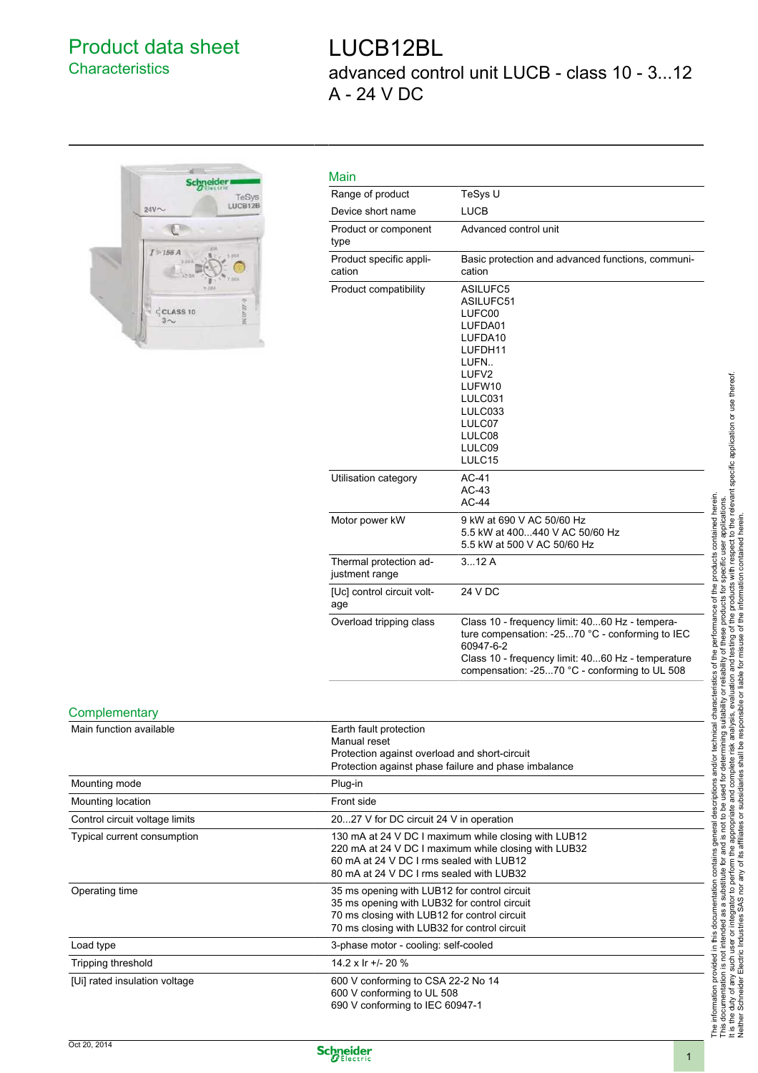## Product data sheet **Characteristics**

## LUCB12BL advanced control unit LUCB - class 10 - 3...12 A - 24 V DC



| Main                                     |                                                                                                                                                                                                                      |
|------------------------------------------|----------------------------------------------------------------------------------------------------------------------------------------------------------------------------------------------------------------------|
| Range of product                         | TeSys U                                                                                                                                                                                                              |
| Device short name                        | <b>LUCB</b>                                                                                                                                                                                                          |
| Product or component<br>type             | Advanced control unit                                                                                                                                                                                                |
| Product specific appli-<br>cation        | Basic protection and advanced functions, communi-<br>cation                                                                                                                                                          |
| Product compatibility                    | ASILUFC5<br>ASILUFC51<br>LUFC00<br>LUFDA01<br>LUFDA10<br>LUFDH11<br>LUFN<br>LUFV2<br>LUFW10<br>LULC031<br>LULC033<br>LULC07<br>LULC08<br>LULC09<br>LULC15                                                            |
| Utilisation category                     | $AC-41$<br>$AC-43$<br>$AC-44$                                                                                                                                                                                        |
| Motor power kW                           | 9 kW at 690 V AC 50/60 Hz<br>5.5 kW at 400440 V AC 50/60 Hz<br>5.5 kW at 500 V AC 50/60 Hz                                                                                                                           |
| Thermal protection ad-<br>justment range | 312A                                                                                                                                                                                                                 |
| [Uc] control circuit volt-<br>age        | 24 V DC                                                                                                                                                                                                              |
| Overload tripping class                  | Class 10 - frequency limit: 4060 Hz - tempera-<br>ture compensation: -2570 °C - conforming to IEC<br>60947-6-2<br>Class 10 - frequency limit: 4060 Hz - temperature<br>compensation: -2570 °C - conforming to UL 508 |

## **Complementary**

| Main function available        | Earth fault protection<br>Manual reset<br>Protection against overload and short-circuit<br>Protection against phase failure and phase imbalance                                                      |  |
|--------------------------------|------------------------------------------------------------------------------------------------------------------------------------------------------------------------------------------------------|--|
| Mounting mode                  | Plug-in                                                                                                                                                                                              |  |
| Mounting location              | Front side                                                                                                                                                                                           |  |
| Control circuit voltage limits | 2027 V for DC circuit 24 V in operation                                                                                                                                                              |  |
| Typical current consumption    | 130 mA at 24 V DC I maximum while closing with LUB12<br>220 mA at 24 V DC I maximum while closing with LUB32<br>60 mA at 24 V DC I rms sealed with LUB12<br>80 mA at 24 V DC I rms sealed with LUB32 |  |
| Operating time                 | 35 ms opening with LUB12 for control circuit<br>35 ms opening with LUB32 for control circuit<br>70 ms closing with LUB12 for control circuit<br>70 ms closing with LUB32 for control circuit         |  |
| Load type                      | 3-phase motor - cooling: self-cooled                                                                                                                                                                 |  |
| Tripping threshold             | 14.2 x Ir $+/- 20$ %                                                                                                                                                                                 |  |
| [Ui] rated insulation voltage  | 600 V conforming to CSA 22-2 No 14<br>600 V conforming to UL 508<br>690 V conforming to IEC 60947-1                                                                                                  |  |